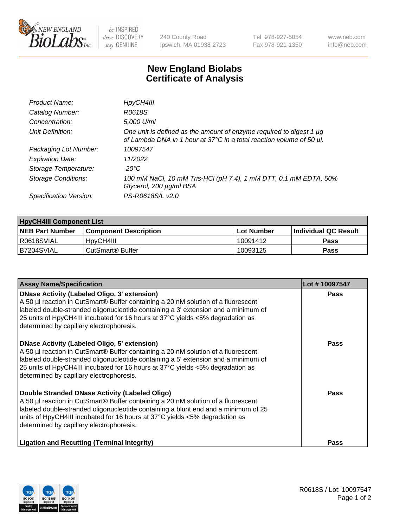

 $be$  INSPIRED drive DISCOVERY stay GENUINE

240 County Road Ipswich, MA 01938-2723 Tel 978-927-5054 Fax 978-921-1350 www.neb.com info@neb.com

## **New England Biolabs Certificate of Analysis**

| Product Name:              | HpyCH4III                                                                                                                                        |
|----------------------------|--------------------------------------------------------------------------------------------------------------------------------------------------|
| Catalog Number:            | R0618S                                                                                                                                           |
| Concentration:             | 5,000 U/ml                                                                                                                                       |
| Unit Definition:           | One unit is defined as the amount of enzyme required to digest 1 $\mu$ g<br>of Lambda DNA in 1 hour at 37°C in a total reaction volume of 50 µl. |
| Packaging Lot Number:      | 10097547                                                                                                                                         |
| <b>Expiration Date:</b>    | 11/2022                                                                                                                                          |
| Storage Temperature:       | -20°C                                                                                                                                            |
| <b>Storage Conditions:</b> | 100 mM NaCl, 10 mM Tris-HCl (pH 7.4), 1 mM DTT, 0.1 mM EDTA, 50%<br>Glycerol, 200 µg/ml BSA                                                      |
| Specification Version:     | PS-R0618S/L v2.0                                                                                                                                 |

| <b>HpyCH4III Component List</b> |                              |            |                             |  |  |
|---------------------------------|------------------------------|------------|-----------------------------|--|--|
| <b>NEB Part Number</b>          | <b>Component Description</b> | Lot Number | <b>Individual QC Result</b> |  |  |
| I R0618SVIAL                    | 'HpyCH4III                   | 10091412   | Pass                        |  |  |
| B7204SVIAL                      | CutSmart <sup>®</sup> Buffer | 10093125   | Pass                        |  |  |

| <b>Assay Name/Specification</b>                                                                                                                                                                                                                                                                                                                                | Lot #10097547 |
|----------------------------------------------------------------------------------------------------------------------------------------------------------------------------------------------------------------------------------------------------------------------------------------------------------------------------------------------------------------|---------------|
| <b>DNase Activity (Labeled Oligo, 3' extension)</b><br>A 50 µl reaction in CutSmart® Buffer containing a 20 nM solution of a fluorescent<br>labeled double-stranded oligonucleotide containing a 3' extension and a minimum of<br>25 units of HpyCH4III incubated for 16 hours at 37°C yields <5% degradation as<br>determined by capillary electrophoresis.   | Pass          |
| <b>DNase Activity (Labeled Oligo, 5' extension)</b><br>A 50 µl reaction in CutSmart® Buffer containing a 20 nM solution of a fluorescent<br>labeled double-stranded oligonucleotide containing a 5' extension and a minimum of<br>25 units of HpyCH4III incubated for 16 hours at 37°C yields <5% degradation as<br>determined by capillary electrophoresis.   | Pass          |
| Double Stranded DNase Activity (Labeled Oligo)<br>A 50 µl reaction in CutSmart® Buffer containing a 20 nM solution of a fluorescent<br>labeled double-stranded oligonucleotide containing a blunt end and a minimum of 25<br>units of HpyCH4III incubated for 16 hours at $37^{\circ}$ C yields <5% degradation as<br>determined by capillary electrophoresis. | Pass          |
| <b>Ligation and Recutting (Terminal Integrity)</b>                                                                                                                                                                                                                                                                                                             | Pass          |